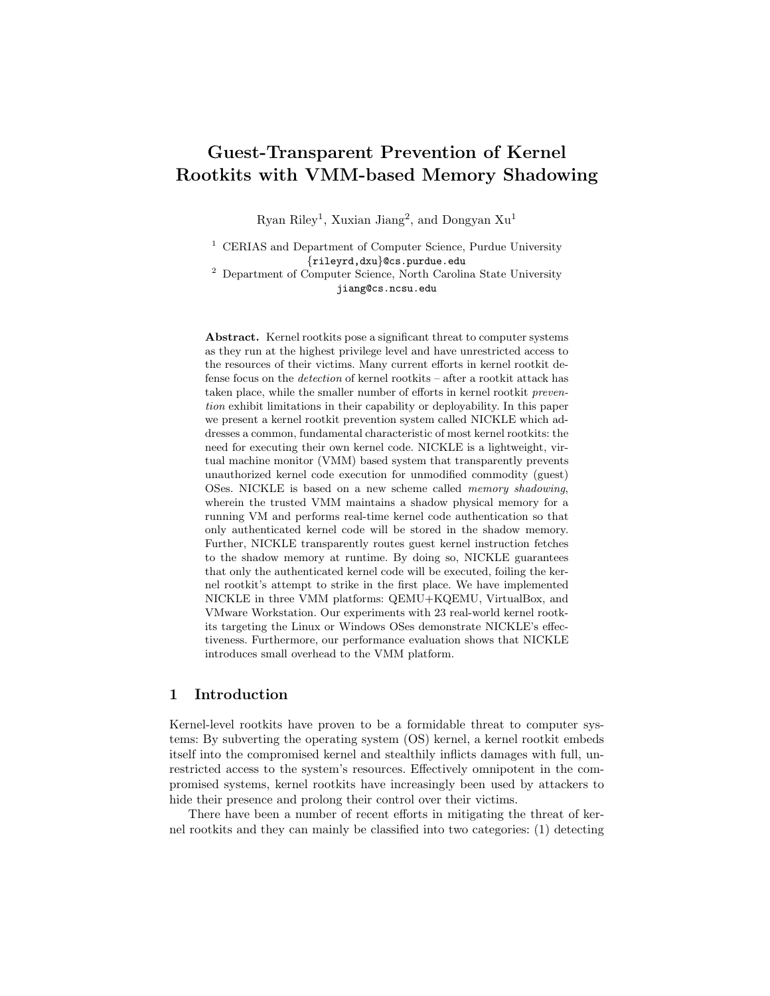# Guest-Transparent Prevention of Kernel Rootkits with VMM-based Memory Shadowing

Ryan Riley<sup>1</sup>, Xuxian Jiang<sup>2</sup>, and Dongyan Xu<sup>1</sup>

<sup>1</sup> CERIAS and Department of Computer Science, Purdue University {rileyrd,dxu}@cs.purdue.edu

<sup>2</sup> Department of Computer Science, North Carolina State University jiang@cs.ncsu.edu

Abstract. Kernel rootkits pose a significant threat to computer systems as they run at the highest privilege level and have unrestricted access to the resources of their victims. Many current efforts in kernel rootkit defense focus on the detection of kernel rootkits – after a rootkit attack has taken place, while the smaller number of efforts in kernel rootkit prevention exhibit limitations in their capability or deployability. In this paper we present a kernel rootkit prevention system called NICKLE which addresses a common, fundamental characteristic of most kernel rootkits: the need for executing their own kernel code. NICKLE is a lightweight, virtual machine monitor (VMM) based system that transparently prevents unauthorized kernel code execution for unmodified commodity (guest) OSes. NICKLE is based on a new scheme called memory shadowing, wherein the trusted VMM maintains a shadow physical memory for a running VM and performs real-time kernel code authentication so that only authenticated kernel code will be stored in the shadow memory. Further, NICKLE transparently routes guest kernel instruction fetches to the shadow memory at runtime. By doing so, NICKLE guarantees that only the authenticated kernel code will be executed, foiling the kernel rootkit's attempt to strike in the first place. We have implemented NICKLE in three VMM platforms: QEMU+KQEMU, VirtualBox, and VMware Workstation. Our experiments with 23 real-world kernel rootkits targeting the Linux or Windows OSes demonstrate NICKLE's effectiveness. Furthermore, our performance evaluation shows that NICKLE introduces small overhead to the VMM platform.

## 1 Introduction

Kernel-level rootkits have proven to be a formidable threat to computer systems: By subverting the operating system (OS) kernel, a kernel rootkit embeds itself into the compromised kernel and stealthily inflicts damages with full, unrestricted access to the system's resources. Effectively omnipotent in the compromised systems, kernel rootkits have increasingly been used by attackers to hide their presence and prolong their control over their victims.

There have been a number of recent efforts in mitigating the threat of kernel rootkits and they can mainly be classified into two categories: (1) detecting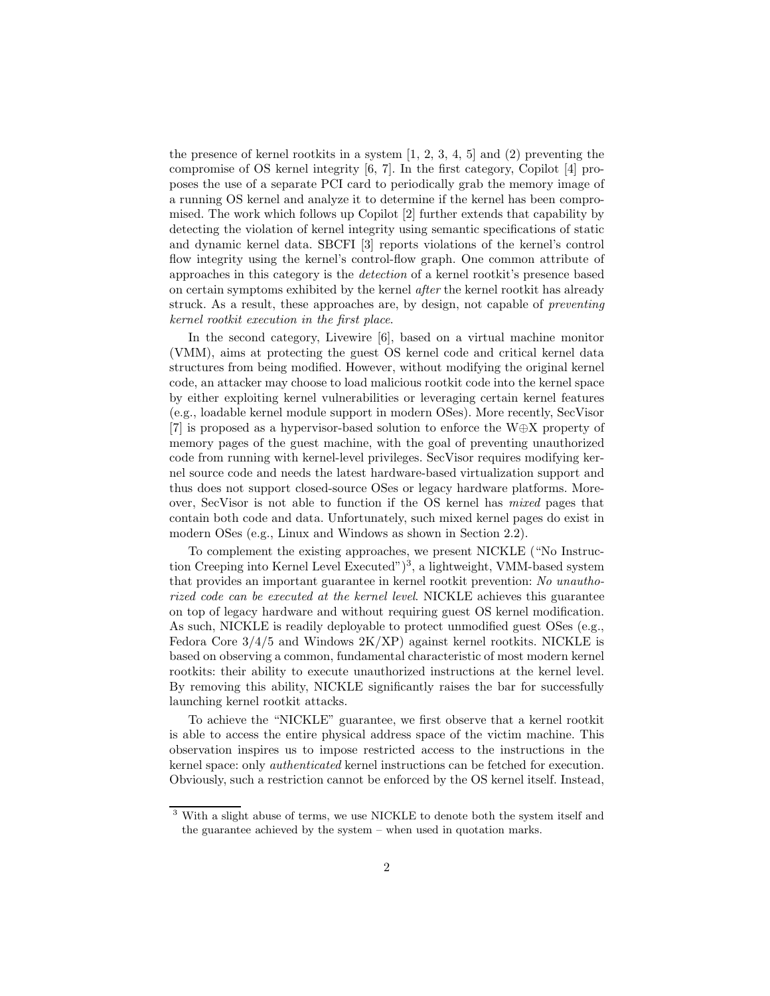the presence of kernel rootkits in a system  $[1, 2, 3, 4, 5]$  and  $(2)$  preventing the compromise of OS kernel integrity [6, 7]. In the first category, Copilot [4] proposes the use of a separate PCI card to periodically grab the memory image of a running OS kernel and analyze it to determine if the kernel has been compromised. The work which follows up Copilot [2] further extends that capability by detecting the violation of kernel integrity using semantic specifications of static and dynamic kernel data. SBCFI [3] reports violations of the kernel's control flow integrity using the kernel's control-flow graph. One common attribute of approaches in this category is the detection of a kernel rootkit's presence based on certain symptoms exhibited by the kernel after the kernel rootkit has already struck. As a result, these approaches are, by design, not capable of preventing kernel rootkit execution in the first place.

In the second category, Livewire [6], based on a virtual machine monitor (VMM), aims at protecting the guest OS kernel code and critical kernel data structures from being modified. However, without modifying the original kernel code, an attacker may choose to load malicious rootkit code into the kernel space by either exploiting kernel vulnerabilities or leveraging certain kernel features (e.g., loadable kernel module support in modern OSes). More recently, SecVisor [7] is proposed as a hypervisor-based solution to enforce the W⊕X property of memory pages of the guest machine, with the goal of preventing unauthorized code from running with kernel-level privileges. SecVisor requires modifying kernel source code and needs the latest hardware-based virtualization support and thus does not support closed-source OSes or legacy hardware platforms. Moreover, SecVisor is not able to function if the OS kernel has mixed pages that contain both code and data. Unfortunately, such mixed kernel pages do exist in modern OSes (e.g., Linux and Windows as shown in Section 2.2).

To complement the existing approaches, we present NICKLE ("No Instruction Creeping into Kernel Level Executed")<sup>3</sup>, a lightweight, VMM-based system that provides an important guarantee in kernel rootkit prevention: No unauthorized code can be executed at the kernel level. NICKLE achieves this guarantee on top of legacy hardware and without requiring guest OS kernel modification. As such, NICKLE is readily deployable to protect unmodified guest OSes (e.g., Fedora Core  $3/4/5$  and Windows  $2K/XP$ ) against kernel rootkits. NICKLE is based on observing a common, fundamental characteristic of most modern kernel rootkits: their ability to execute unauthorized instructions at the kernel level. By removing this ability, NICKLE significantly raises the bar for successfully launching kernel rootkit attacks.

To achieve the "NICKLE" guarantee, we first observe that a kernel rootkit is able to access the entire physical address space of the victim machine. This observation inspires us to impose restricted access to the instructions in the kernel space: only authenticated kernel instructions can be fetched for execution. Obviously, such a restriction cannot be enforced by the OS kernel itself. Instead,

<sup>&</sup>lt;sup>3</sup> With a slight abuse of terms, we use NICKLE to denote both the system itself and the guarantee achieved by the system – when used in quotation marks.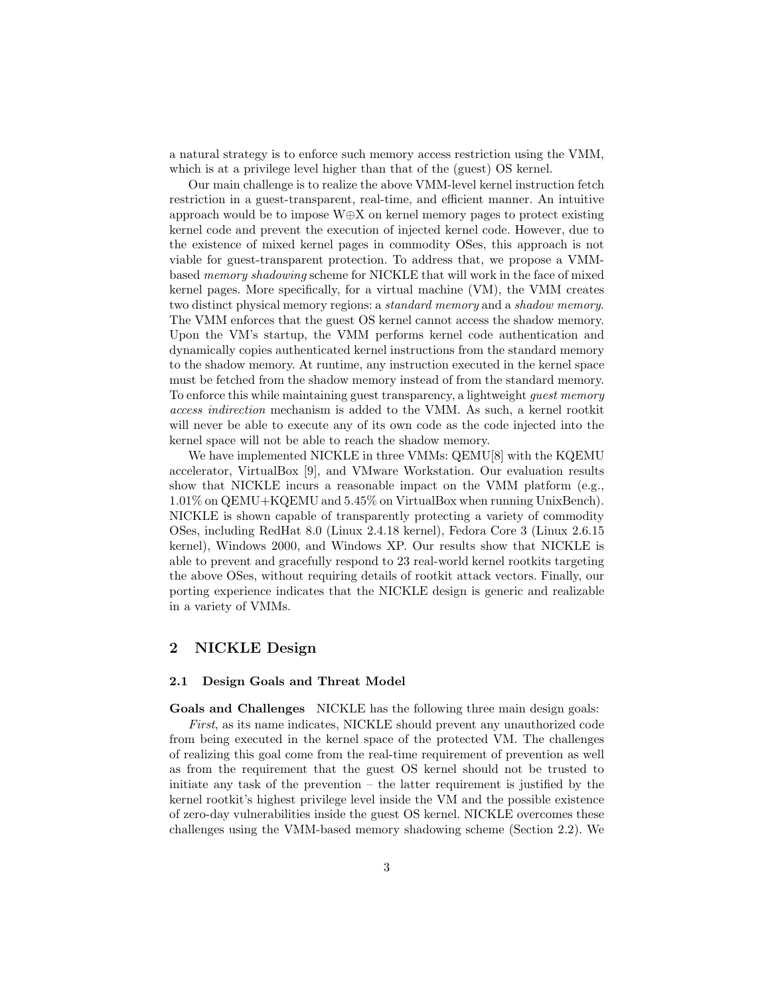a natural strategy is to enforce such memory access restriction using the VMM, which is at a privilege level higher than that of the (guest) OS kernel.

Our main challenge is to realize the above VMM-level kernel instruction fetch restriction in a guest-transparent, real-time, and efficient manner. An intuitive approach would be to impose W⊕X on kernel memory pages to protect existing kernel code and prevent the execution of injected kernel code. However, due to the existence of mixed kernel pages in commodity OSes, this approach is not viable for guest-transparent protection. To address that, we propose a VMMbased memory shadowing scheme for NICKLE that will work in the face of mixed kernel pages. More specifically, for a virtual machine (VM), the VMM creates two distinct physical memory regions: a standard memory and a shadow memory. The VMM enforces that the guest OS kernel cannot access the shadow memory. Upon the VM's startup, the VMM performs kernel code authentication and dynamically copies authenticated kernel instructions from the standard memory to the shadow memory. At runtime, any instruction executed in the kernel space must be fetched from the shadow memory instead of from the standard memory. To enforce this while maintaining guest transparency, a lightweight guest memory access indirection mechanism is added to the VMM. As such, a kernel rootkit will never be able to execute any of its own code as the code injected into the kernel space will not be able to reach the shadow memory.

We have implemented NICKLE in three VMMs: QEMU[8] with the KQEMU accelerator, VirtualBox [9], and VMware Workstation. Our evaluation results show that NICKLE incurs a reasonable impact on the VMM platform (e.g., 1.01% on QEMU+KQEMU and 5.45% on VirtualBox when running UnixBench). NICKLE is shown capable of transparently protecting a variety of commodity OSes, including RedHat 8.0 (Linux 2.4.18 kernel), Fedora Core 3 (Linux 2.6.15 kernel), Windows 2000, and Windows XP. Our results show that NICKLE is able to prevent and gracefully respond to 23 real-world kernel rootkits targeting the above OSes, without requiring details of rootkit attack vectors. Finally, our porting experience indicates that the NICKLE design is generic and realizable in a variety of VMMs.

## 2 NICKLE Design

#### 2.1 Design Goals and Threat Model

Goals and Challenges NICKLE has the following three main design goals:

First, as its name indicates, NICKLE should prevent any unauthorized code from being executed in the kernel space of the protected VM. The challenges of realizing this goal come from the real-time requirement of prevention as well as from the requirement that the guest OS kernel should not be trusted to initiate any task of the prevention – the latter requirement is justified by the kernel rootkit's highest privilege level inside the VM and the possible existence of zero-day vulnerabilities inside the guest OS kernel. NICKLE overcomes these challenges using the VMM-based memory shadowing scheme (Section 2.2). We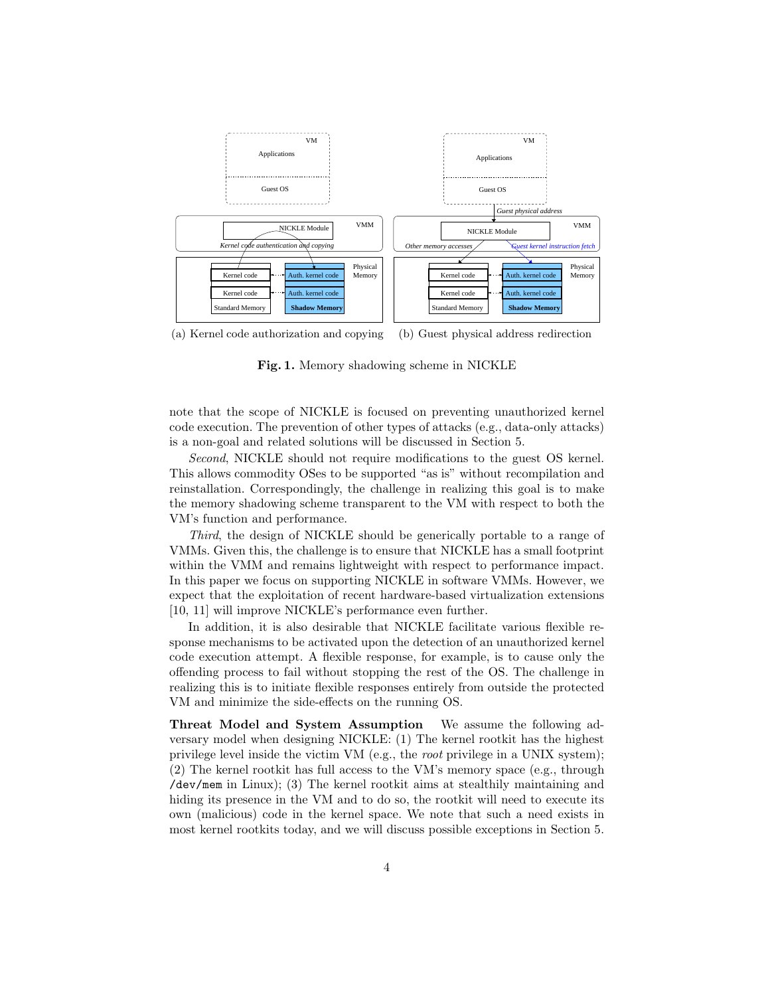

(a) Kernel code authorization and copying (b) Guest physical address redirection

Fig. 1. Memory shadowing scheme in NICKLE

note that the scope of NICKLE is focused on preventing unauthorized kernel code execution. The prevention of other types of attacks (e.g., data-only attacks) is a non-goal and related solutions will be discussed in Section 5.

Second, NICKLE should not require modifications to the guest OS kernel. This allows commodity OSes to be supported "as is" without recompilation and reinstallation. Correspondingly, the challenge in realizing this goal is to make the memory shadowing scheme transparent to the VM with respect to both the VM's function and performance.

Third, the design of NICKLE should be generically portable to a range of VMMs. Given this, the challenge is to ensure that NICKLE has a small footprint within the VMM and remains lightweight with respect to performance impact. In this paper we focus on supporting NICKLE in software VMMs. However, we expect that the exploitation of recent hardware-based virtualization extensions [10, 11] will improve NICKLE's performance even further.

In addition, it is also desirable that NICKLE facilitate various flexible response mechanisms to be activated upon the detection of an unauthorized kernel code execution attempt. A flexible response, for example, is to cause only the offending process to fail without stopping the rest of the OS. The challenge in realizing this is to initiate flexible responses entirely from outside the protected VM and minimize the side-effects on the running OS.

Threat Model and System Assumption We assume the following adversary model when designing NICKLE: (1) The kernel rootkit has the highest privilege level inside the victim VM (e.g., the root privilege in a UNIX system); (2) The kernel rootkit has full access to the VM's memory space (e.g., through /dev/mem in Linux); (3) The kernel rootkit aims at stealthily maintaining and hiding its presence in the VM and to do so, the rootkit will need to execute its own (malicious) code in the kernel space. We note that such a need exists in most kernel rootkits today, and we will discuss possible exceptions in Section 5.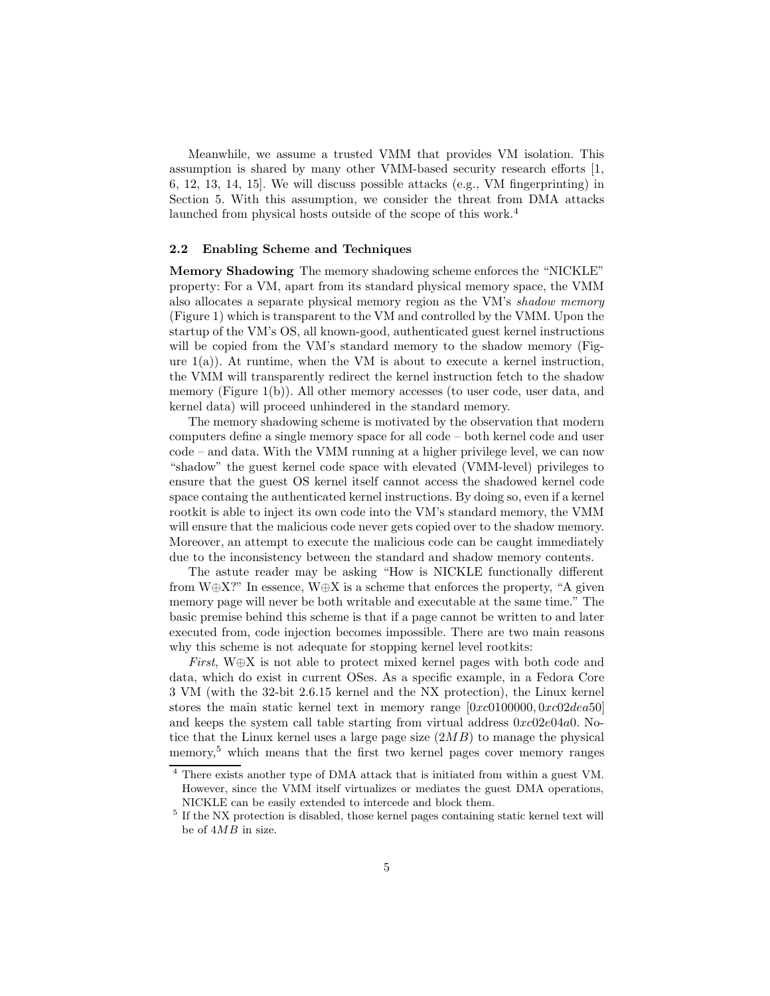Meanwhile, we assume a trusted VMM that provides VM isolation. This assumption is shared by many other VMM-based security research efforts [1, 6, 12, 13, 14, 15]. We will discuss possible attacks (e.g., VM fingerprinting) in Section 5. With this assumption, we consider the threat from DMA attacks launched from physical hosts outside of the scope of this work.<sup>4</sup>

#### 2.2 Enabling Scheme and Techniques

Memory Shadowing The memory shadowing scheme enforces the "NICKLE" property: For a VM, apart from its standard physical memory space, the VMM also allocates a separate physical memory region as the VM's shadow memory (Figure 1) which is transparent to the VM and controlled by the VMM. Upon the startup of the VM's OS, all known-good, authenticated guest kernel instructions will be copied from the VM's standard memory to the shadow memory (Figure  $1(a)$ ). At runtime, when the VM is about to execute a kernel instruction, the VMM will transparently redirect the kernel instruction fetch to the shadow memory (Figure 1(b)). All other memory accesses (to user code, user data, and kernel data) will proceed unhindered in the standard memory.

The memory shadowing scheme is motivated by the observation that modern computers define a single memory space for all code – both kernel code and user code – and data. With the VMM running at a higher privilege level, we can now "shadow" the guest kernel code space with elevated (VMM-level) privileges to ensure that the guest OS kernel itself cannot access the shadowed kernel code space containg the authenticated kernel instructions. By doing so, even if a kernel rootkit is able to inject its own code into the VM's standard memory, the VMM will ensure that the malicious code never gets copied over to the shadow memory. Moreover, an attempt to execute the malicious code can be caught immediately due to the inconsistency between the standard and shadow memory contents.

The astute reader may be asking "How is NICKLE functionally different from W⊕X?" In essence, W⊕X is a scheme that enforces the property, "A given memory page will never be both writable and executable at the same time." The basic premise behind this scheme is that if a page cannot be written to and later executed from, code injection becomes impossible. There are two main reasons why this scheme is not adequate for stopping kernel level rootkits:

First,  $W \oplus X$  is not able to protect mixed kernel pages with both code and data, which do exist in current OSes. As a specific example, in a Fedora Core 3 VM (with the 32-bit 2.6.15 kernel and the NX protection), the Linux kernel stores the main static kernel text in memory range  $[0xc0100000, 0xc02dea50]$ and keeps the system call table starting from virtual address  $0xc02e04a0$ . Notice that the Linux kernel uses a large page size  $(2MB)$  to manage the physical memory,<sup>5</sup> which means that the first two kernel pages cover memory ranges

<sup>4</sup> There exists another type of DMA attack that is initiated from within a guest VM. However, since the VMM itself virtualizes or mediates the guest DMA operations, NICKLE can be easily extended to intercede and block them.

<sup>5</sup> If the NX protection is disabled, those kernel pages containing static kernel text will be of 4MB in size.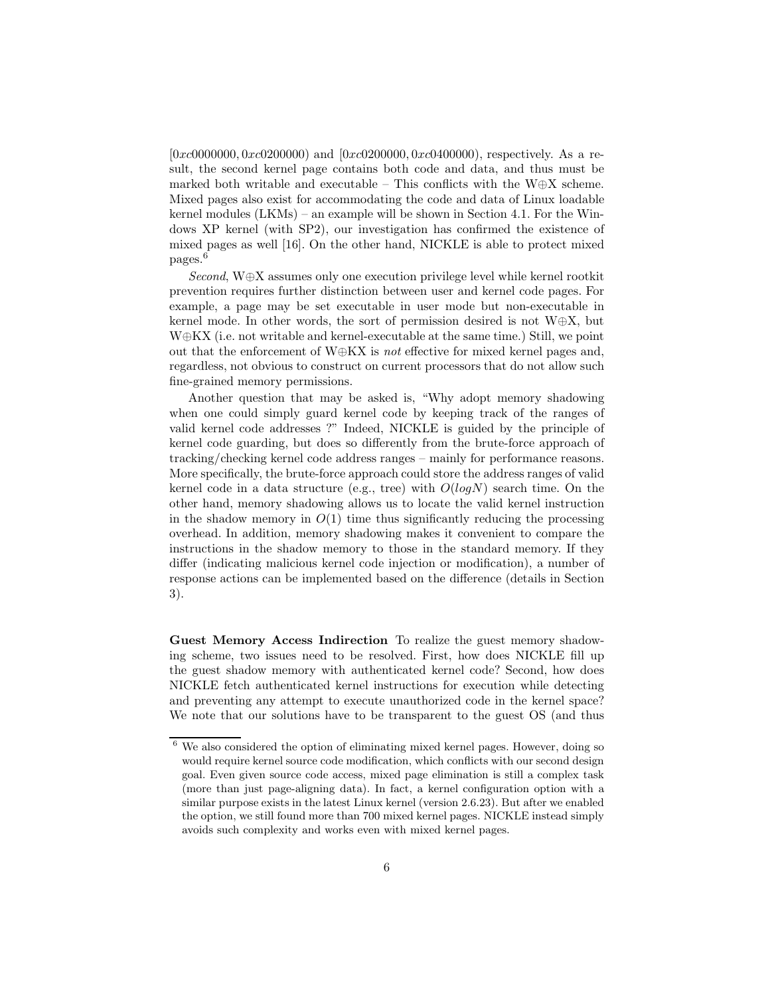[0xc0000000, 0xc0200000) and [0xc0200000, 0xc0400000), respectively. As a result, the second kernel page contains both code and data, and thus must be marked both writable and executable – This conflicts with the  $W \oplus X$  scheme. Mixed pages also exist for accommodating the code and data of Linux loadable kernel modules (LKMs) – an example will be shown in Section 4.1. For the Windows XP kernel (with SP2), our investigation has confirmed the existence of mixed pages as well [16]. On the other hand, NICKLE is able to protect mixed pages.<sup>6</sup>

Second, W⊕X assumes only one execution privilege level while kernel rootkit prevention requires further distinction between user and kernel code pages. For example, a page may be set executable in user mode but non-executable in kernel mode. In other words, the sort of permission desired is not  $W \oplus X$ , but W⊕KX (i.e. not writable and kernel-executable at the same time.) Still, we point out that the enforcement of W⊕KX is *not* effective for mixed kernel pages and, regardless, not obvious to construct on current processors that do not allow such fine-grained memory permissions.

Another question that may be asked is, "Why adopt memory shadowing when one could simply guard kernel code by keeping track of the ranges of valid kernel code addresses ?" Indeed, NICKLE is guided by the principle of kernel code guarding, but does so differently from the brute-force approach of tracking/checking kernel code address ranges – mainly for performance reasons. More specifically, the brute-force approach could store the address ranges of valid kernel code in a data structure (e.g., tree) with  $O(logN)$  search time. On the other hand, memory shadowing allows us to locate the valid kernel instruction in the shadow memory in  $O(1)$  time thus significantly reducing the processing overhead. In addition, memory shadowing makes it convenient to compare the instructions in the shadow memory to those in the standard memory. If they differ (indicating malicious kernel code injection or modification), a number of response actions can be implemented based on the difference (details in Section 3).

Guest Memory Access Indirection To realize the guest memory shadowing scheme, two issues need to be resolved. First, how does NICKLE fill up the guest shadow memory with authenticated kernel code? Second, how does NICKLE fetch authenticated kernel instructions for execution while detecting and preventing any attempt to execute unauthorized code in the kernel space? We note that our solutions have to be transparent to the guest OS (and thus

 $6$  We also considered the option of eliminating mixed kernel pages. However, doing so would require kernel source code modification, which conflicts with our second design goal. Even given source code access, mixed page elimination is still a complex task (more than just page-aligning data). In fact, a kernel configuration option with a similar purpose exists in the latest Linux kernel (version 2.6.23). But after we enabled the option, we still found more than 700 mixed kernel pages. NICKLE instead simply avoids such complexity and works even with mixed kernel pages.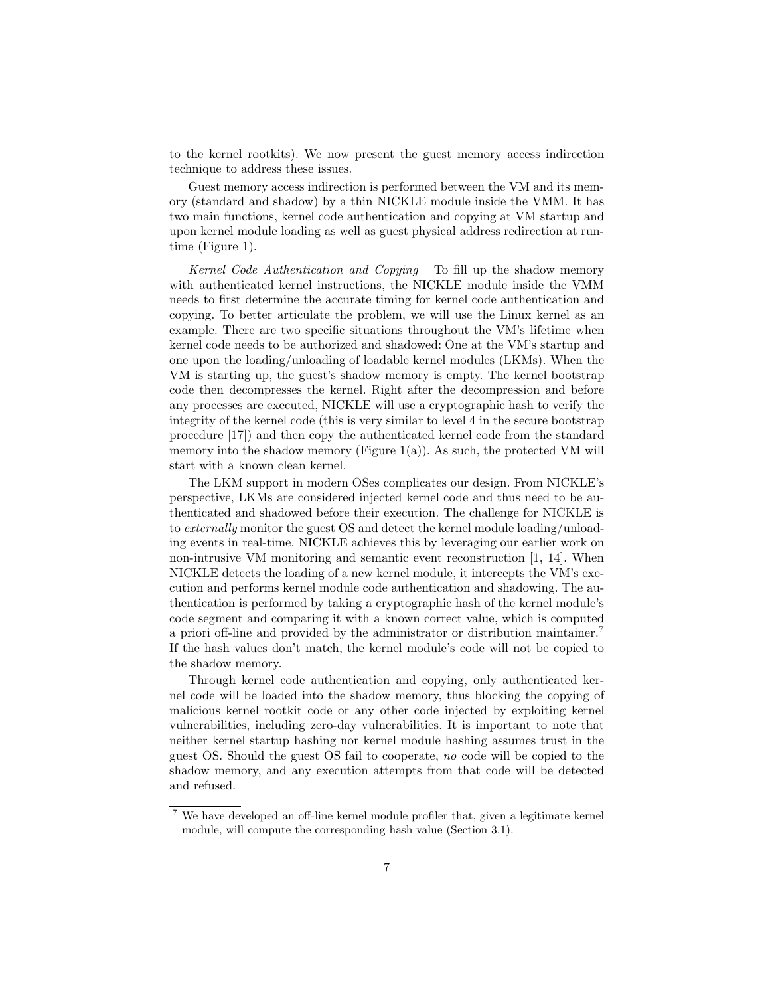to the kernel rootkits). We now present the guest memory access indirection technique to address these issues.

Guest memory access indirection is performed between the VM and its memory (standard and shadow) by a thin NICKLE module inside the VMM. It has two main functions, kernel code authentication and copying at VM startup and upon kernel module loading as well as guest physical address redirection at runtime (Figure 1).

Kernel Code Authentication and Copying To fill up the shadow memory with authenticated kernel instructions, the NICKLE module inside the VMM needs to first determine the accurate timing for kernel code authentication and copying. To better articulate the problem, we will use the Linux kernel as an example. There are two specific situations throughout the VM's lifetime when kernel code needs to be authorized and shadowed: One at the VM's startup and one upon the loading/unloading of loadable kernel modules (LKMs). When the VM is starting up, the guest's shadow memory is empty. The kernel bootstrap code then decompresses the kernel. Right after the decompression and before any processes are executed, NICKLE will use a cryptographic hash to verify the integrity of the kernel code (this is very similar to level 4 in the secure bootstrap procedure [17]) and then copy the authenticated kernel code from the standard memory into the shadow memory (Figure 1(a)). As such, the protected VM will start with a known clean kernel.

The LKM support in modern OSes complicates our design. From NICKLE's perspective, LKMs are considered injected kernel code and thus need to be authenticated and shadowed before their execution. The challenge for NICKLE is to externally monitor the guest OS and detect the kernel module loading/unloading events in real-time. NICKLE achieves this by leveraging our earlier work on non-intrusive VM monitoring and semantic event reconstruction [1, 14]. When NICKLE detects the loading of a new kernel module, it intercepts the VM's execution and performs kernel module code authentication and shadowing. The authentication is performed by taking a cryptographic hash of the kernel module's code segment and comparing it with a known correct value, which is computed a priori off-line and provided by the administrator or distribution maintainer. If the hash values don't match, the kernel module's code will not be copied to the shadow memory.

Through kernel code authentication and copying, only authenticated kernel code will be loaded into the shadow memory, thus blocking the copying of malicious kernel rootkit code or any other code injected by exploiting kernel vulnerabilities, including zero-day vulnerabilities. It is important to note that neither kernel startup hashing nor kernel module hashing assumes trust in the guest OS. Should the guest OS fail to cooperate, no code will be copied to the shadow memory, and any execution attempts from that code will be detected and refused.

<sup>7</sup> We have developed an off-line kernel module profiler that, given a legitimate kernel module, will compute the corresponding hash value (Section 3.1).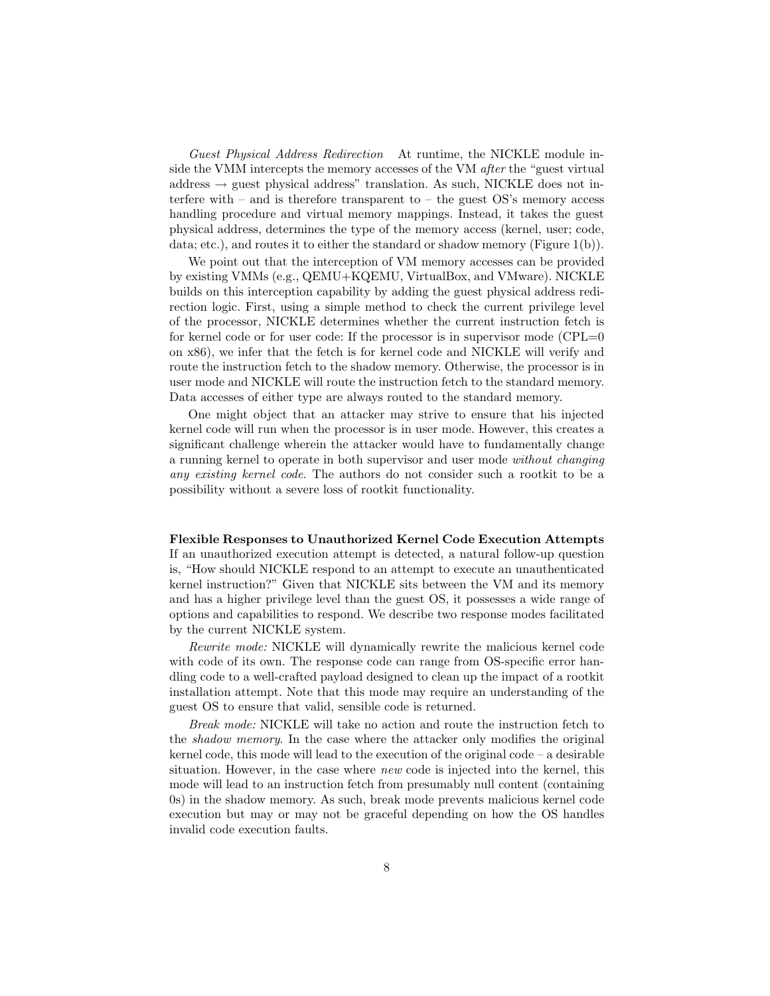Guest Physical Address Redirection At runtime, the NICKLE module inside the VMM intercepts the memory accesses of the VM after the "guest virtual  $\alpha$ ddress  $\rightarrow$  guest physical address" translation. As such, NICKLE does not interfere with – and is therefore transparent to – the guest  $OS$ 's memory access handling procedure and virtual memory mappings. Instead, it takes the guest physical address, determines the type of the memory access (kernel, user; code, data; etc.), and routes it to either the standard or shadow memory (Figure 1(b)).

We point out that the interception of VM memory accesses can be provided by existing VMMs (e.g., QEMU+KQEMU, VirtualBox, and VMware). NICKLE builds on this interception capability by adding the guest physical address redirection logic. First, using a simple method to check the current privilege level of the processor, NICKLE determines whether the current instruction fetch is for kernel code or for user code: If the processor is in supervisor mode  $(CPL=0)$ on x86), we infer that the fetch is for kernel code and NICKLE will verify and route the instruction fetch to the shadow memory. Otherwise, the processor is in user mode and NICKLE will route the instruction fetch to the standard memory. Data accesses of either type are always routed to the standard memory.

One might object that an attacker may strive to ensure that his injected kernel code will run when the processor is in user mode. However, this creates a significant challenge wherein the attacker would have to fundamentally change a running kernel to operate in both supervisor and user mode without changing any existing kernel code. The authors do not consider such a rootkit to be a possibility without a severe loss of rootkit functionality.

Flexible Responses to Unauthorized Kernel Code Execution Attempts If an unauthorized execution attempt is detected, a natural follow-up question is, "How should NICKLE respond to an attempt to execute an unauthenticated kernel instruction?" Given that NICKLE sits between the VM and its memory and has a higher privilege level than the guest OS, it possesses a wide range of options and capabilities to respond. We describe two response modes facilitated by the current NICKLE system.

Rewrite mode: NICKLE will dynamically rewrite the malicious kernel code with code of its own. The response code can range from OS-specific error handling code to a well-crafted payload designed to clean up the impact of a rootkit installation attempt. Note that this mode may require an understanding of the guest OS to ensure that valid, sensible code is returned.

Break mode: NICKLE will take no action and route the instruction fetch to the shadow memory. In the case where the attacker only modifies the original kernel code, this mode will lead to the execution of the original code – a desirable situation. However, in the case where new code is injected into the kernel, this mode will lead to an instruction fetch from presumably null content (containing 0s) in the shadow memory. As such, break mode prevents malicious kernel code execution but may or may not be graceful depending on how the OS handles invalid code execution faults.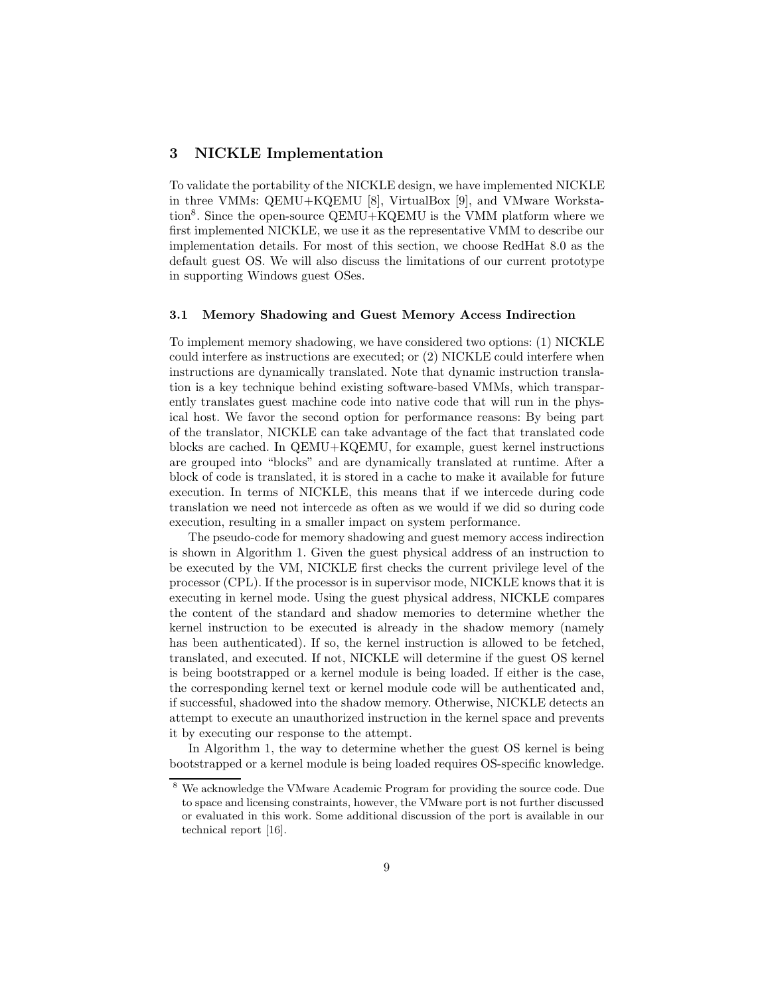## 3 NICKLE Implementation

To validate the portability of the NICKLE design, we have implemented NICKLE in three VMMs: QEMU+KQEMU [8], VirtualBox [9], and VMware Workstation<sup>8</sup>. Since the open-source QEMU+KQEMU is the VMM platform where we first implemented NICKLE, we use it as the representative VMM to describe our implementation details. For most of this section, we choose RedHat 8.0 as the default guest OS. We will also discuss the limitations of our current prototype in supporting Windows guest OSes.

#### 3.1 Memory Shadowing and Guest Memory Access Indirection

To implement memory shadowing, we have considered two options: (1) NICKLE could interfere as instructions are executed; or (2) NICKLE could interfere when instructions are dynamically translated. Note that dynamic instruction translation is a key technique behind existing software-based VMMs, which transparently translates guest machine code into native code that will run in the physical host. We favor the second option for performance reasons: By being part of the translator, NICKLE can take advantage of the fact that translated code blocks are cached. In QEMU+KQEMU, for example, guest kernel instructions are grouped into "blocks" and are dynamically translated at runtime. After a block of code is translated, it is stored in a cache to make it available for future execution. In terms of NICKLE, this means that if we intercede during code translation we need not intercede as often as we would if we did so during code execution, resulting in a smaller impact on system performance.

The pseudo-code for memory shadowing and guest memory access indirection is shown in Algorithm 1. Given the guest physical address of an instruction to be executed by the VM, NICKLE first checks the current privilege level of the processor (CPL). If the processor is in supervisor mode, NICKLE knows that it is executing in kernel mode. Using the guest physical address, NICKLE compares the content of the standard and shadow memories to determine whether the kernel instruction to be executed is already in the shadow memory (namely has been authenticated). If so, the kernel instruction is allowed to be fetched, translated, and executed. If not, NICKLE will determine if the guest OS kernel is being bootstrapped or a kernel module is being loaded. If either is the case, the corresponding kernel text or kernel module code will be authenticated and, if successful, shadowed into the shadow memory. Otherwise, NICKLE detects an attempt to execute an unauthorized instruction in the kernel space and prevents it by executing our response to the attempt.

In Algorithm 1, the way to determine whether the guest OS kernel is being bootstrapped or a kernel module is being loaded requires OS-specific knowledge.

<sup>8</sup> We acknowledge the VMware Academic Program for providing the source code. Due to space and licensing constraints, however, the VMware port is not further discussed or evaluated in this work. Some additional discussion of the port is available in our technical report [16].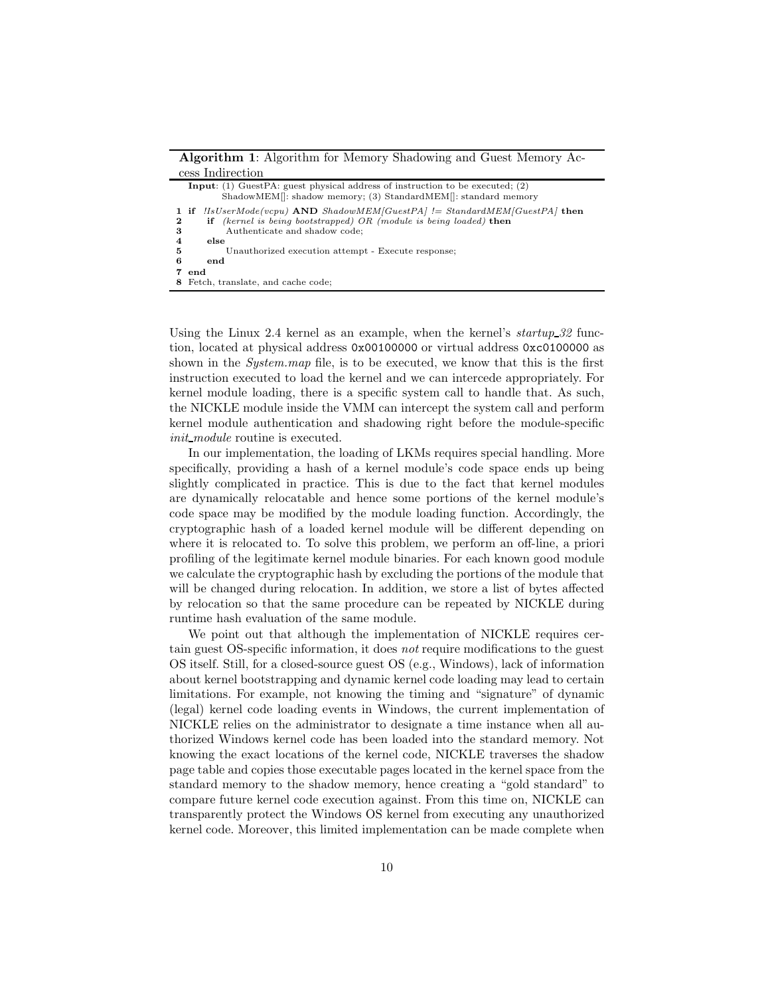Algorithm 1: Algorithm for Memory Shadowing and Guest Memory Access Indirection

|             | <b>Input</b> : (1) Guest PA: guest physical address of instruction to be executed; (2)<br>ShadowMEM $[$ : shadow memory; (3) StandardMEM $[$ : standard memory     |
|-------------|--------------------------------------------------------------------------------------------------------------------------------------------------------------------|
| 2           | <b>1 if</b> $'IsUserMode(vcpu)$ AND $ShadowMEM[GuestPA]$ $!=$ $StandardMEM[GuestPA]$ then<br>(kernel is being bootstrapped) OR (module is being loaded) then<br>if |
| 3<br>4<br>5 | Authenticate and shadow code;<br>else<br>Unauthorized execution attempt - Execute response;                                                                        |
| 6<br>7      | end<br>end                                                                                                                                                         |
|             | 8 Fetch, translate, and cache code;                                                                                                                                |

Using the Linux 2.4 kernel as an example, when the kernel's startup 32 function, located at physical address 0x00100000 or virtual address 0xc0100000 as shown in the *System.map* file, is to be executed, we know that this is the first instruction executed to load the kernel and we can intercede appropriately. For kernel module loading, there is a specific system call to handle that. As such, the NICKLE module inside the VMM can intercept the system call and perform kernel module authentication and shadowing right before the module-specific init\_module routine is executed.

In our implementation, the loading of LKMs requires special handling. More specifically, providing a hash of a kernel module's code space ends up being slightly complicated in practice. This is due to the fact that kernel modules are dynamically relocatable and hence some portions of the kernel module's code space may be modified by the module loading function. Accordingly, the cryptographic hash of a loaded kernel module will be different depending on where it is relocated to. To solve this problem, we perform an off-line, a priori profiling of the legitimate kernel module binaries. For each known good module we calculate the cryptographic hash by excluding the portions of the module that will be changed during relocation. In addition, we store a list of bytes affected by relocation so that the same procedure can be repeated by NICKLE during runtime hash evaluation of the same module.

We point out that although the implementation of NICKLE requires certain guest OS-specific information, it does not require modifications to the guest OS itself. Still, for a closed-source guest OS (e.g., Windows), lack of information about kernel bootstrapping and dynamic kernel code loading may lead to certain limitations. For example, not knowing the timing and "signature" of dynamic (legal) kernel code loading events in Windows, the current implementation of NICKLE relies on the administrator to designate a time instance when all authorized Windows kernel code has been loaded into the standard memory. Not knowing the exact locations of the kernel code, NICKLE traverses the shadow page table and copies those executable pages located in the kernel space from the standard memory to the shadow memory, hence creating a "gold standard" to compare future kernel code execution against. From this time on, NICKLE can transparently protect the Windows OS kernel from executing any unauthorized kernel code. Moreover, this limited implementation can be made complete when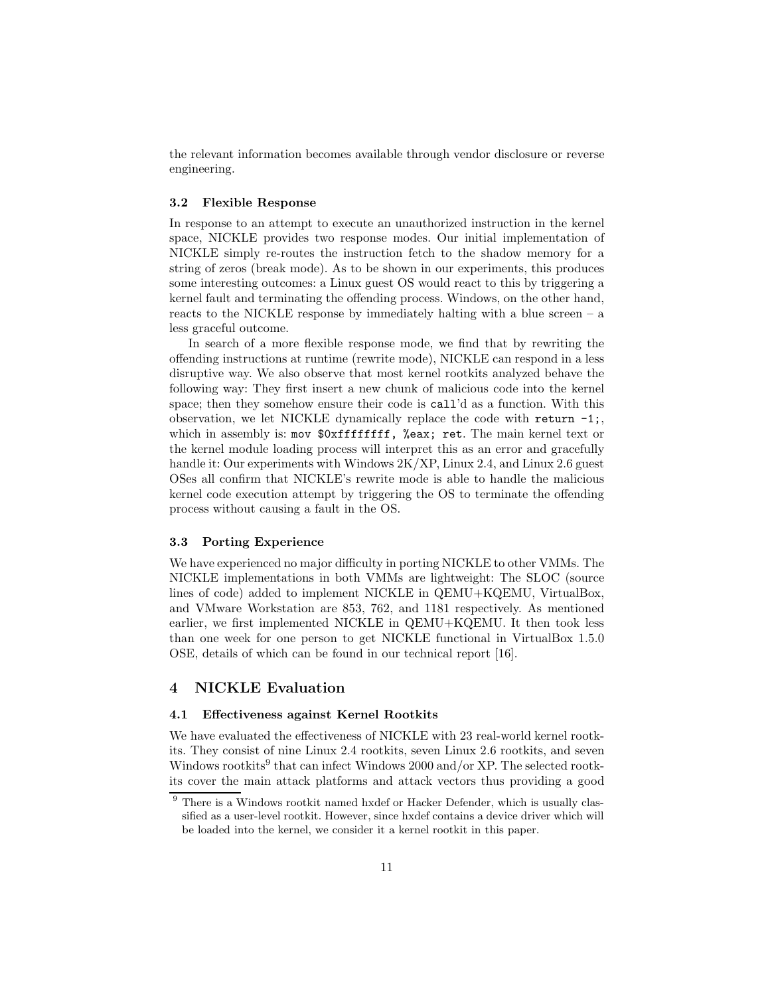the relevant information becomes available through vendor disclosure or reverse engineering.

#### 3.2 Flexible Response

In response to an attempt to execute an unauthorized instruction in the kernel space, NICKLE provides two response modes. Our initial implementation of NICKLE simply re-routes the instruction fetch to the shadow memory for a string of zeros (break mode). As to be shown in our experiments, this produces some interesting outcomes: a Linux guest OS would react to this by triggering a kernel fault and terminating the offending process. Windows, on the other hand, reacts to the NICKLE response by immediately halting with a blue screen  $-$  a less graceful outcome.

In search of a more flexible response mode, we find that by rewriting the offending instructions at runtime (rewrite mode), NICKLE can respond in a less disruptive way. We also observe that most kernel rootkits analyzed behave the following way: They first insert a new chunk of malicious code into the kernel space; then they somehow ensure their code is call'd as a function. With this observation, we let NICKLE dynamically replace the code with return  $-1$ ; which in assembly is: mov \$0xffffffff, %eax; ret. The main kernel text or the kernel module loading process will interpret this as an error and gracefully handle it: Our experiments with Windows  $2K/XP$ , Linux 2.4, and Linux 2.6 guest OSes all confirm that NICKLE's rewrite mode is able to handle the malicious kernel code execution attempt by triggering the OS to terminate the offending process without causing a fault in the OS.

#### 3.3 Porting Experience

We have experienced no major difficulty in porting NICKLE to other VMMs. The NICKLE implementations in both VMMs are lightweight: The SLOC (source lines of code) added to implement NICKLE in QEMU+KQEMU, VirtualBox, and VMware Workstation are 853, 762, and 1181 respectively. As mentioned earlier, we first implemented NICKLE in QEMU+KQEMU. It then took less than one week for one person to get NICKLE functional in VirtualBox 1.5.0 OSE, details of which can be found in our technical report [16].

## 4 NICKLE Evaluation

#### 4.1 Effectiveness against Kernel Rootkits

We have evaluated the effectiveness of NICKLE with 23 real-world kernel rootkits. They consist of nine Linux 2.4 rootkits, seven Linux 2.6 rootkits, and seven Windows rootkits<sup>9</sup> that can infect Windows 2000 and/or XP. The selected rootkits cover the main attack platforms and attack vectors thus providing a good

<sup>&</sup>lt;sup>9</sup> There is a Windows rootkit named hxdef or Hacker Defender, which is usually classified as a user-level rootkit. However, since hxdef contains a device driver which will be loaded into the kernel, we consider it a kernel rootkit in this paper.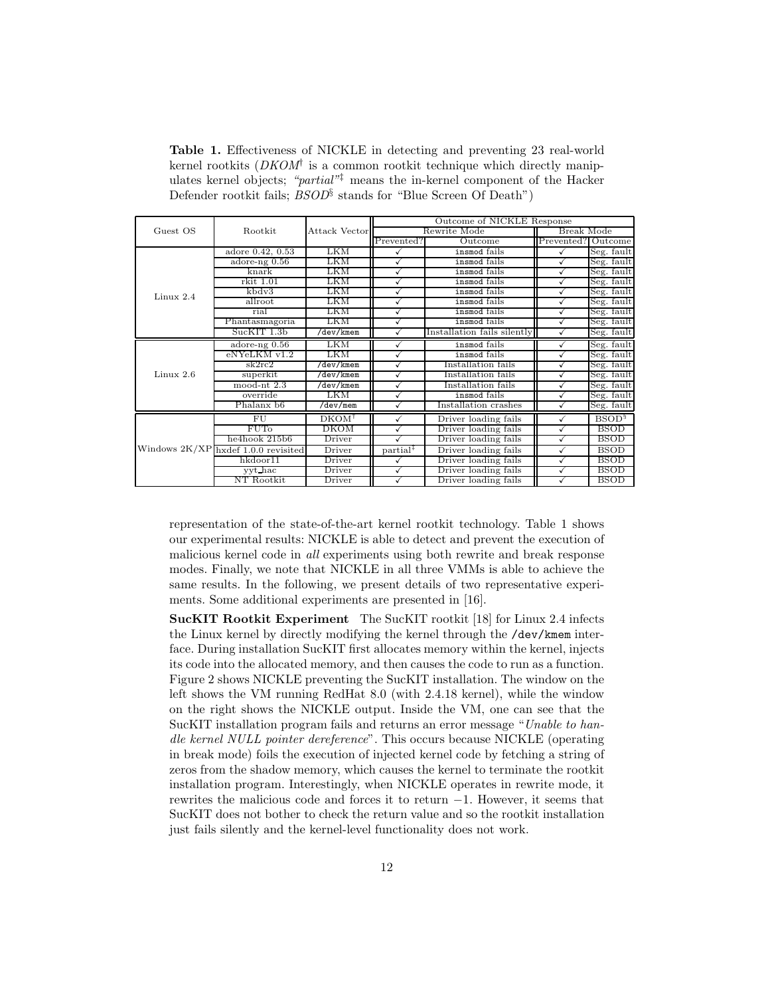Table 1. Effectiveness of NICKLE in detecting and preventing 23 real-world kernel rootkits  $(DKOM<sup>†</sup>$  is a common rootkit technique which directly manipulates kernel objects; "partial"<sup>†</sup> means the in-kernel component of the Hacker Defender rootkit fails;  $BSOD^{\S}$  stands for "Blue Screen Of Death")

|           |                                       |                  | Outcome of NICKLE Response |                             |                    |                   |  |
|-----------|---------------------------------------|------------------|----------------------------|-----------------------------|--------------------|-------------------|--|
| Guest OS  | Rootkit                               | Attack Vector    |                            | Rewrite Mode                | Break Mode         |                   |  |
|           |                                       |                  | Prevented?                 | Outcome                     | Prevented? Outcome |                   |  |
|           | adore 0.42, 0.53                      | <b>LKM</b>       |                            | insmod fails                |                    | Seg. fault        |  |
|           | $adore$ -ng $0.56$                    | LKM              |                            | insmod fails                |                    | Seg. fault        |  |
|           | knark                                 | LKM              | ✓                          | insmod fails                | ✓                  | Seg. fault        |  |
|           | $r$ kit $1.01$                        | LKM              |                            | insmod fails                | ✓                  | Seg. fault        |  |
| Linux 2.4 | kbdv3                                 | LKM              |                            | insmod fails                |                    | Seg. fault        |  |
|           | allroot                               | LKM              |                            | insmod fails                |                    | Seg. fault        |  |
|           | rial                                  | LKM              |                            | insmod fails                | $\checkmark$       | Seg. fault        |  |
|           | Phantasmagoria                        | LKM              | ✓                          | insmod fails                | ✓                  | Seg. fault        |  |
|           | SucKIT 1.3b                           | /dev/kmem        |                            | Installation fails silently |                    | Seg. fault        |  |
|           | $adore-ng$ 0.56                       | LKM              | $\checkmark$               | insmod fails                | ✓                  | Seg. fault        |  |
|           | eNYeLKM v1.2                          | LKM              |                            | insmod fails                |                    | Seg. fault        |  |
|           | sk2rc2                                | /dev/kmem        | ✓                          | Installation fails          |                    | Seg. fault        |  |
| Linux 2.6 | superkit                              | /dev/kmem        |                            | Installation fails          |                    | Seg. fault        |  |
|           | $mod$ -nt $2.3$                       | /dev/kmem        | $\checkmark$               | Installation fails          |                    | Seg. fault        |  |
|           | override                              | <b>LKM</b>       | ✓                          | insmod fails                | ✓                  | Seg. fault        |  |
|           | Phalanx b6                            | /dev/mem         |                            | Installation crashes        | $\checkmark$       | Seg. fault        |  |
|           | <b>FU</b>                             | $DKOM^{\dagger}$ | $\checkmark$               | Driver loading fails        | $\checkmark$       | BSOD <sup>§</sup> |  |
|           | FUTo                                  | DKOM             |                            | Driver loading fails        |                    | BSOD              |  |
|           | he4hook 215b6                         | Driver           |                            | Driver loading fails        | $\checkmark$       | <b>BSOD</b>       |  |
|           | Windows $2K/XP$ hxdef 1.0.0 revisited | Driver           | $partial^{\ddagger}$       | Driver loading fails        | $\checkmark$       | <b>BSOD</b>       |  |
|           | hkdoor11                              | Driver           |                            | Driver loading fails        | ✓                  | <b>BSOD</b>       |  |
|           | yyt_hac                               | Driver           |                            | Driver loading fails        |                    | <b>BSOD</b>       |  |
|           | NT Rootkit                            | Driver           |                            | Driver loading fails        |                    | <b>BSOD</b>       |  |

representation of the state-of-the-art kernel rootkit technology. Table 1 shows our experimental results: NICKLE is able to detect and prevent the execution of malicious kernel code in all experiments using both rewrite and break response modes. Finally, we note that NICKLE in all three VMMs is able to achieve the same results. In the following, we present details of two representative experiments. Some additional experiments are presented in [16].

SucKIT Rootkit Experiment The SucKIT rootkit [18] for Linux 2.4 infects the Linux kernel by directly modifying the kernel through the /dev/kmem interface. During installation SucKIT first allocates memory within the kernel, injects its code into the allocated memory, and then causes the code to run as a function. Figure 2 shows NICKLE preventing the SucKIT installation. The window on the left shows the VM running RedHat 8.0 (with 2.4.18 kernel), while the window on the right shows the NICKLE output. Inside the VM, one can see that the SucKIT installation program fails and returns an error message "Unable to handle kernel NULL pointer dereference". This occurs because NICKLE (operating in break mode) foils the execution of injected kernel code by fetching a string of zeros from the shadow memory, which causes the kernel to terminate the rootkit installation program. Interestingly, when NICKLE operates in rewrite mode, it rewrites the malicious code and forces it to return −1. However, it seems that SucKIT does not bother to check the return value and so the rootkit installation just fails silently and the kernel-level functionality does not work.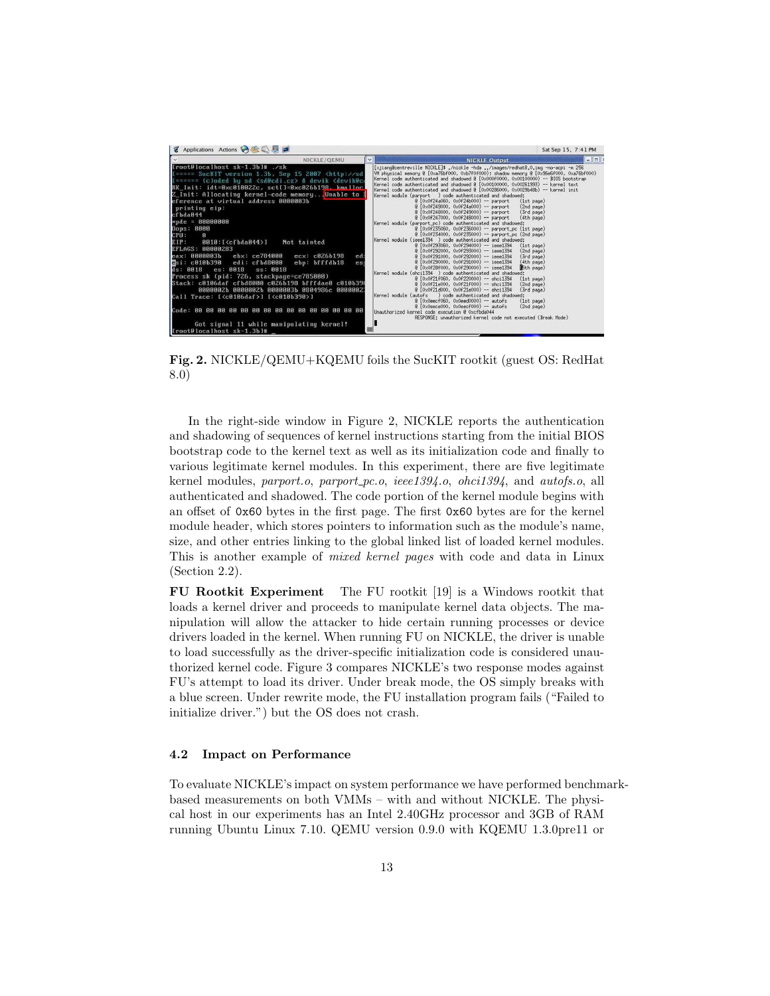| Z Applications Actions                                                                                                                                                                                                                                                                                                                                                                                                                                                                                                                                                                                                                                                                                                                                                                                                                                                                  |                                                                                                                       |              |                                                                                                                                                                                                                                                                                                                                                                                                                                                                                                                                                                                                                                                                                                                                                                                                                                                                                                                                                                                                                                                                                                                                                                                                                                                                                                                                                                                                                                                                                                                                                                                                                                                                                                                                                                                                                                                                                                              | Sat Sep 15, 7:41 PM |        |
|-----------------------------------------------------------------------------------------------------------------------------------------------------------------------------------------------------------------------------------------------------------------------------------------------------------------------------------------------------------------------------------------------------------------------------------------------------------------------------------------------------------------------------------------------------------------------------------------------------------------------------------------------------------------------------------------------------------------------------------------------------------------------------------------------------------------------------------------------------------------------------------------|-----------------------------------------------------------------------------------------------------------------------|--------------|--------------------------------------------------------------------------------------------------------------------------------------------------------------------------------------------------------------------------------------------------------------------------------------------------------------------------------------------------------------------------------------------------------------------------------------------------------------------------------------------------------------------------------------------------------------------------------------------------------------------------------------------------------------------------------------------------------------------------------------------------------------------------------------------------------------------------------------------------------------------------------------------------------------------------------------------------------------------------------------------------------------------------------------------------------------------------------------------------------------------------------------------------------------------------------------------------------------------------------------------------------------------------------------------------------------------------------------------------------------------------------------------------------------------------------------------------------------------------------------------------------------------------------------------------------------------------------------------------------------------------------------------------------------------------------------------------------------------------------------------------------------------------------------------------------------------------------------------------------------------------------------------------------------|---------------------|--------|
|                                                                                                                                                                                                                                                                                                                                                                                                                                                                                                                                                                                                                                                                                                                                                                                                                                                                                         | NICKLE/QEMU                                                                                                           | $\checkmark$ | <b>NICKLE Output</b>                                                                                                                                                                                                                                                                                                                                                                                                                                                                                                                                                                                                                                                                                                                                                                                                                                                                                                                                                                                                                                                                                                                                                                                                                                                                                                                                                                                                                                                                                                                                                                                                                                                                                                                                                                                                                                                                                         |                     | $-101$ |
| [root@localhost sk-1.3b]# ./sk<br>===== SuckIT version 1.3b, Sep 15 2007 <http: sd<br="">====== (c)oded by sd <sd0cdi.cz> &amp; devik <devik0co<br>RK Init: idt=0xc010022c, sct[]=0xc026b198. kmalloc<br/>Z_Init: Allocating kernel-code memory<mark>.</mark>Unable to :<br/>eference at virtual address 0000003b<br/>printing eip:<br/>cfbda044<br/><math>* pde = 00000000</math><br/><b>Oops: 0000</b><br/>CPU:<br/>ø<br/>EIP:<br/>0010: [<cfbda044>]<br/>EFLAGS: 00000283<br/>eax: 0000003b<br/>ebx: ce784000<br/>Esi: c010b390<br/>edi: cfbd8000<br/>es: 0018<br/>ds:BB18<br/>ss:BB18<br/>Process sk (pid: 726, stackpage=ce785000)<br/>Stack: c0106daf cfbd8000 c026b198 bfffdae0 c010b390<br/>Call Trace: [<c0106daf>] [<c010b390>]<br/>Got signal 11 while manipulating kernel!<br/>[root@localhost sk-1.3b]#</c010b390></c0106daf></cfbda044></devik0co<br></sd0cdi.cz></http:> | Not tainted<br>ex: c826b198<br>ed:<br>ebp: bfffdb18<br>es <sub>1</sub><br>0000002b 0000002b 0000003b 0804986c 0000002 |              | [xjiang@centreville NICKLE]\$ ./nickle -hda /images/redhat8.0.img -no-acpi -m 256<br>WM phusical memory @ [0xa76bf000, 0xb7f0f000); shadow memory @ [0x96e6f000, 0xa76bf000)<br>Kernel code authenticated and shadowed @ [0x000f0000, 0x00100000) -- BIOS bootstrap<br>Kernel code authenticated and shadowed @ [0x00100000, 0x00261993) -- kernel text<br>Kernel code authenticated and shadowed @ [0x00286000, 0x0029b48b) -- kernel init<br>Kernel module (parport ) code authenticated and shadowed:<br>@ [0x0f24a060, 0x0f24b000) -- parport<br>$(1st \text{ page})$<br>$Q$ [0x0f249000, 0x0f24a000) -- parport<br>(2nd page)<br>@ [0x0f248000, 0x0f249000) -- parport<br>(3rd page)<br>$Q$ [0x0f247000, 0x0f248000) -- parport<br>$(4th \text{ page})$<br>Kernel module (parport pc) code authenticated and shadowed:<br>@ [0x0f235060, 0x0f236000) -- parport pc (1st page)<br>@ [0x0f234000, 0x0f235000) -- parport_pc (2nd page)<br>Kernel module (ieee1394) code authenticated and shadowed:<br>@ [0x0f293060, 0x0f294000) -- ieee1394<br>$(1st \text{ page})$<br>@ [0x0f292000, 0x0f293000) -- ieee1394<br>(2nd page)<br>@ [0x0f291000, 0x0f292000) -- ieee1394<br>(3rd page)<br>@ [0x0f290000, 0x0f291000) -- ieee1394<br>$(4th \text{ page})$<br>@ [0x0f28f000, 0x0f290000) -- ieee1394<br>(5th page)<br>Kernel module (ohci1394) code authenticated and shadowed:<br>@ [0x0f21f060, 0x0f220000) -- ohci1394<br>$(1st \text{ page})$<br>$Q$ $[0 \times 0f21e000, 0 \times 0f21f000]$ -- ohci1394<br>$(2nd$ page)<br>@ [0x0f21d000, 0x0f21e000) -- ohci1394<br>(3rd page)<br>) code authenticated and shadowed:<br>Kernel module (autofs)<br>$Q$ [0x0eecf060, 0x0eed0000) -- autofs<br>(1st page)<br>$Q$ $(x0)$ eece000, $0x0$ eec $f000$ ) -- autofs<br>$(2nd \text{ page})$<br>Unauthorized kernel code execution @ 0xcfbda044<br>RESPONSE: unauthorized kernel code not executed (Break Mode) |                     |        |

Fig. 2. NICKLE/QEMU+KQEMU foils the SucKIT rootkit (guest OS: RedHat 8.0)

In the right-side window in Figure 2, NICKLE reports the authentication and shadowing of sequences of kernel instructions starting from the initial BIOS bootstrap code to the kernel text as well as its initialization code and finally to various legitimate kernel modules. In this experiment, there are five legitimate kernel modules, parport.o, parport pc.o, ieee1394.o, ohci1394, and autofs.o, all authenticated and shadowed. The code portion of the kernel module begins with an offset of 0x60 bytes in the first page. The first 0x60 bytes are for the kernel module header, which stores pointers to information such as the module's name, size, and other entries linking to the global linked list of loaded kernel modules. This is another example of mixed kernel pages with code and data in Linux (Section 2.2).

FU Rootkit Experiment The FU rootkit [19] is a Windows rootkit that loads a kernel driver and proceeds to manipulate kernel data objects. The manipulation will allow the attacker to hide certain running processes or device drivers loaded in the kernel. When running FU on NICKLE, the driver is unable to load successfully as the driver-specific initialization code is considered unauthorized kernel code. Figure 3 compares NICKLE's two response modes against FU's attempt to load its driver. Under break mode, the OS simply breaks with a blue screen. Under rewrite mode, the FU installation program fails ("Failed to initialize driver.") but the OS does not crash.

## 4.2 Impact on Performance

To evaluate NICKLE's impact on system performance we have performed benchmarkbased measurements on both VMMs – with and without NICKLE. The physical host in our experiments has an Intel 2.40GHz processor and 3GB of RAM running Ubuntu Linux 7.10. QEMU version 0.9.0 with KQEMU 1.3.0pre11 or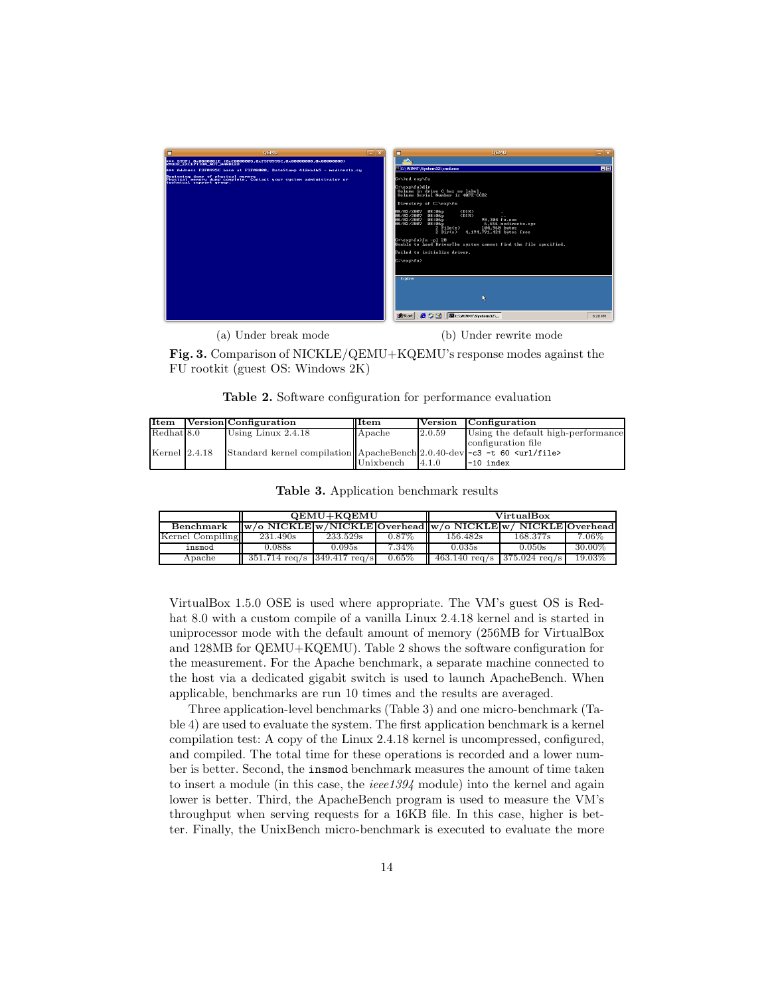

(a) Under break mode (b) Under rewrite mode

Fig. 3. Comparison of NICKLE/QEMU+KQEMU's response modes against the FU rootkit (guest OS: Windows 2K)

Table 2. Software configuration for performance evaluation

| Item                  | Version Configuration                                                                     | . Item         |         | Version Configuration              |
|-----------------------|-------------------------------------------------------------------------------------------|----------------|---------|------------------------------------|
| Redhat <sup>8.0</sup> | Using Linux $2.4.18$                                                                      | <b>A</b> pache | 12.0.59 | Using the default high-performance |
|                       |                                                                                           |                |         | configuration file                 |
| Kernel $2.4.18$       | Standard kernel compilation $\Delta$ ApacheBench 2.0.40-dev $\sim$ -t 60 $\sim$ url/file> |                |         |                                    |
|                       |                                                                                           | Unixbench      | 4.1.0   | $-10$ index                        |

| Table 3. Application benchmark results |  |  |
|----------------------------------------|--|--|
|----------------------------------------|--|--|

|                  |                                         | QEMU+KQEMU |          | <b>VirtualBox</b>                                           |          |          |  |
|------------------|-----------------------------------------|------------|----------|-------------------------------------------------------------|----------|----------|--|
| Benchmark        |                                         |            |          | w/o_NICKLE w/NICKLE Overhead  w/o_NICKLE w/_NICKLE Overhead |          |          |  |
| Kernel Compiling | 231.490s                                | 233.529s   | $0.87\%$ | 156.482s                                                    | 168.377s | $7.06\%$ |  |
| insmod           | 0.088s                                  | 0.095s     | 7.34%    | 0.035s                                                      | 0.050s   | 30.00%   |  |
| Apache           | $\frac{1}{351.714}$ req/s 349.417 req/s |            | 0.65%    | 463.140 req/s $375.024$ req/s                               |          | 19.03%   |  |

VirtualBox 1.5.0 OSE is used where appropriate. The VM's guest OS is Redhat 8.0 with a custom compile of a vanilla Linux 2.4.18 kernel and is started in uniprocessor mode with the default amount of memory (256MB for VirtualBox and 128MB for QEMU+KQEMU). Table 2 shows the software configuration for the measurement. For the Apache benchmark, a separate machine connected to the host via a dedicated gigabit switch is used to launch ApacheBench. When applicable, benchmarks are run 10 times and the results are averaged.

Three application-level benchmarks (Table 3) and one micro-benchmark (Table 4) are used to evaluate the system. The first application benchmark is a kernel compilation test: A copy of the Linux 2.4.18 kernel is uncompressed, configured, and compiled. The total time for these operations is recorded and a lower number is better. Second, the insmod benchmark measures the amount of time taken to insert a module (in this case, the *ieee1394* module) into the kernel and again lower is better. Third, the ApacheBench program is used to measure the VM's throughput when serving requests for a 16KB file. In this case, higher is better. Finally, the UnixBench micro-benchmark is executed to evaluate the more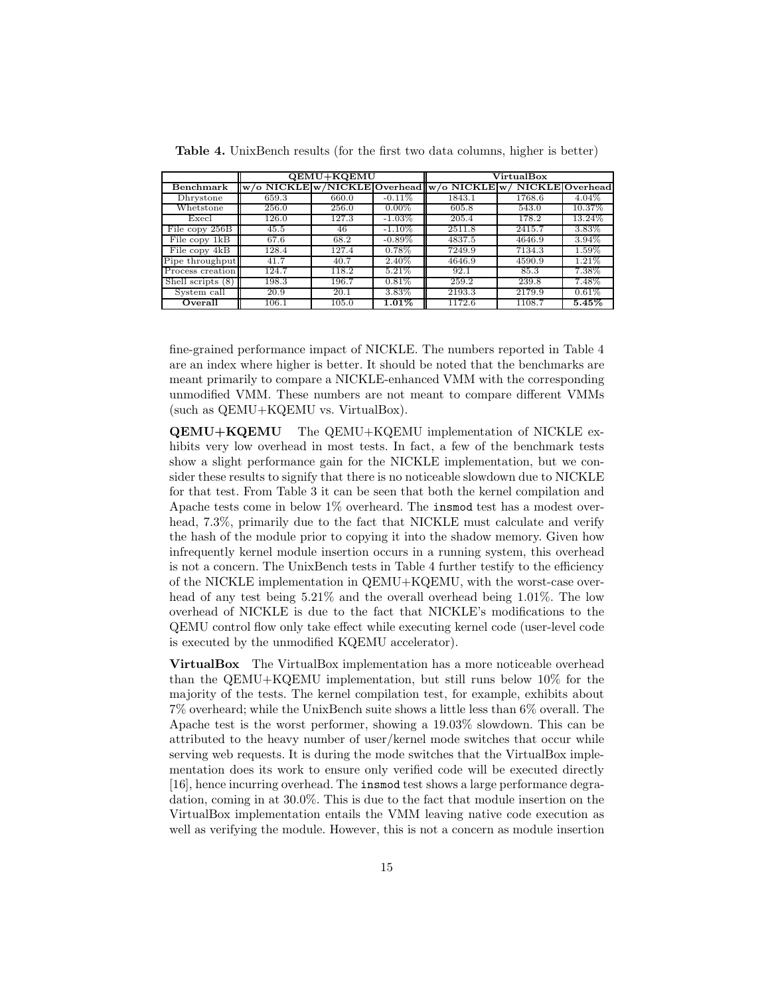|                     | $QEMU+\overline{KQEMU}$ |       |           | VirtualBox                                 |        |                 |  |
|---------------------|-------------------------|-------|-----------|--------------------------------------------|--------|-----------------|--|
| <b>Benchmark</b>    |                         |       |           | w/o NICKLE w/NICKLE Overhead  w/o NICKLE w |        | NICKLE Overhead |  |
| Dhrystone           | 659.3                   | 660.0 | $-0.11\%$ | 1843.1                                     | 1768.6 | $4.04\%$        |  |
| Whetstone           | 256.0                   | 256.0 | $0.00\%$  | 605.8                                      | 543.0  | 10.37%          |  |
| Execl               | 126.0                   | 127.3 | $-1.03\%$ | 205.4                                      | 178.2  | 13.24%          |  |
| File copy 256B      | 45.5                    | 46    | $-1.10\%$ | 2511.8                                     | 2415.7 | 3.83%           |  |
| File copy 1kB       | 67.6                    | 68.2  | $-0.89\%$ | 4837.5                                     | 4646.9 | 3.94%           |  |
| File copy 4kB       | 128.4                   | 127.4 | 0.78%     | 7249.9                                     | 7134.3 | 1.59%           |  |
| Pipe throughput     | 41.7                    | 40.7  | 2.40\%    | 4646.9                                     | 4590.9 | $1.21\%$        |  |
| Process creation    | 124.7                   | 118.2 | 5.21%     | 92.1                                       | 85.3   | $7.38\%$        |  |
| Shell scripts $(8)$ | 198.3                   | 196.7 | 0.81%     | 259.2                                      | 239.8  | 7.48%           |  |
| System call         | 20.9                    | 20.1  | $3.83\%$  | 2193.3                                     | 2179.9 | 0.61%           |  |
| Overall             | 106.1                   | 105.0 | $1.01\%$  | 1172.6                                     | 1108.7 | 5.45%           |  |

Table 4. UnixBench results (for the first two data columns, higher is better)

fine-grained performance impact of NICKLE. The numbers reported in Table 4 are an index where higher is better. It should be noted that the benchmarks are meant primarily to compare a NICKLE-enhanced VMM with the corresponding unmodified VMM. These numbers are not meant to compare different VMMs (such as QEMU+KQEMU vs. VirtualBox).

QEMU+KQEMU The QEMU+KQEMU implementation of NICKLE exhibits very low overhead in most tests. In fact, a few of the benchmark tests show a slight performance gain for the NICKLE implementation, but we consider these results to signify that there is no noticeable slowdown due to NICKLE for that test. From Table 3 it can be seen that both the kernel compilation and Apache tests come in below 1% overheard. The insmod test has a modest overhead,  $7.3\%$ , primarily due to the fact that NICKLE must calculate and verify the hash of the module prior to copying it into the shadow memory. Given how infrequently kernel module insertion occurs in a running system, this overhead is not a concern. The UnixBench tests in Table 4 further testify to the efficiency of the NICKLE implementation in QEMU+KQEMU, with the worst-case overhead of any test being 5.21% and the overall overhead being 1.01%. The low overhead of NICKLE is due to the fact that NICKLE's modifications to the QEMU control flow only take effect while executing kernel code (user-level code is executed by the unmodified KQEMU accelerator).

VirtualBox The VirtualBox implementation has a more noticeable overhead than the QEMU+KQEMU implementation, but still runs below 10% for the majority of the tests. The kernel compilation test, for example, exhibits about 7% overheard; while the UnixBench suite shows a little less than 6% overall. The Apache test is the worst performer, showing a 19.03% slowdown. This can be attributed to the heavy number of user/kernel mode switches that occur while serving web requests. It is during the mode switches that the VirtualBox implementation does its work to ensure only verified code will be executed directly [16], hence incurring overhead. The insmod test shows a large performance degradation, coming in at 30.0%. This is due to the fact that module insertion on the VirtualBox implementation entails the VMM leaving native code execution as well as verifying the module. However, this is not a concern as module insertion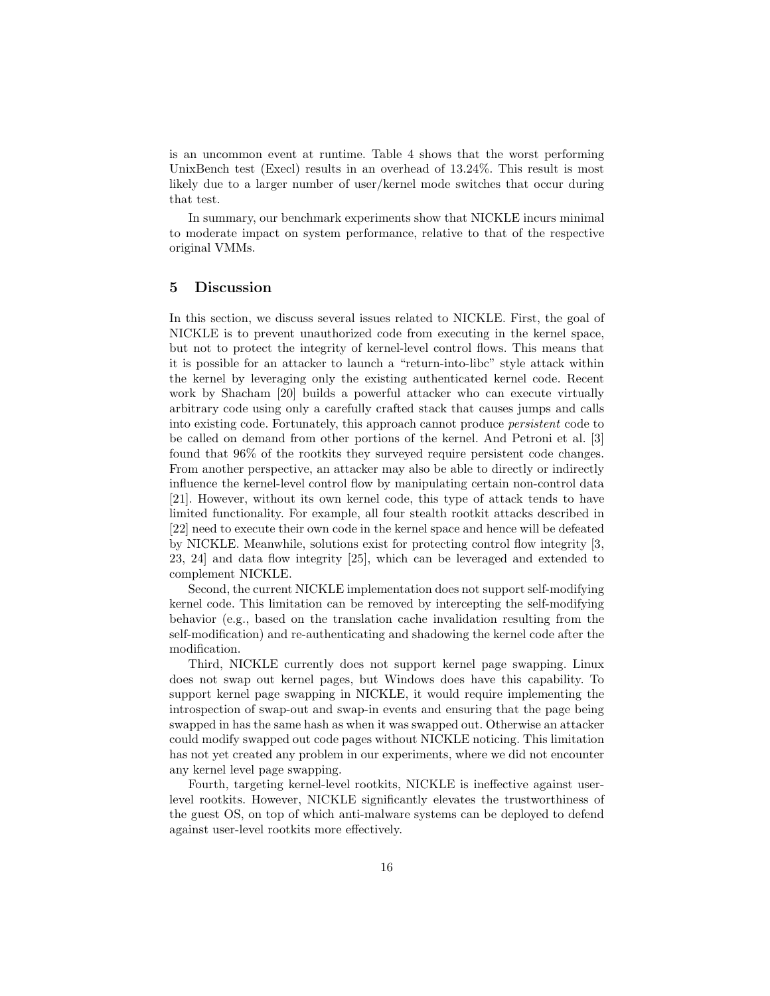is an uncommon event at runtime. Table 4 shows that the worst performing UnixBench test (Execl) results in an overhead of  $13.24\%$ . This result is most likely due to a larger number of user/kernel mode switches that occur during that test.

In summary, our benchmark experiments show that NICKLE incurs minimal to moderate impact on system performance, relative to that of the respective original VMMs.

## 5 Discussion

In this section, we discuss several issues related to NICKLE. First, the goal of NICKLE is to prevent unauthorized code from executing in the kernel space, but not to protect the integrity of kernel-level control flows. This means that it is possible for an attacker to launch a "return-into-libc" style attack within the kernel by leveraging only the existing authenticated kernel code. Recent work by Shacham [20] builds a powerful attacker who can execute virtually arbitrary code using only a carefully crafted stack that causes jumps and calls into existing code. Fortunately, this approach cannot produce persistent code to be called on demand from other portions of the kernel. And Petroni et al. [3] found that 96% of the rootkits they surveyed require persistent code changes. From another perspective, an attacker may also be able to directly or indirectly influence the kernel-level control flow by manipulating certain non-control data [21]. However, without its own kernel code, this type of attack tends to have limited functionality. For example, all four stealth rootkit attacks described in [22] need to execute their own code in the kernel space and hence will be defeated by NICKLE. Meanwhile, solutions exist for protecting control flow integrity [3, 23, 24] and data flow integrity [25], which can be leveraged and extended to complement NICKLE.

Second, the current NICKLE implementation does not support self-modifying kernel code. This limitation can be removed by intercepting the self-modifying behavior (e.g., based on the translation cache invalidation resulting from the self-modification) and re-authenticating and shadowing the kernel code after the modification.

Third, NICKLE currently does not support kernel page swapping. Linux does not swap out kernel pages, but Windows does have this capability. To support kernel page swapping in NICKLE, it would require implementing the introspection of swap-out and swap-in events and ensuring that the page being swapped in has the same hash as when it was swapped out. Otherwise an attacker could modify swapped out code pages without NICKLE noticing. This limitation has not yet created any problem in our experiments, where we did not encounter any kernel level page swapping.

Fourth, targeting kernel-level rootkits, NICKLE is ineffective against userlevel rootkits. However, NICKLE significantly elevates the trustworthiness of the guest OS, on top of which anti-malware systems can be deployed to defend against user-level rootkits more effectively.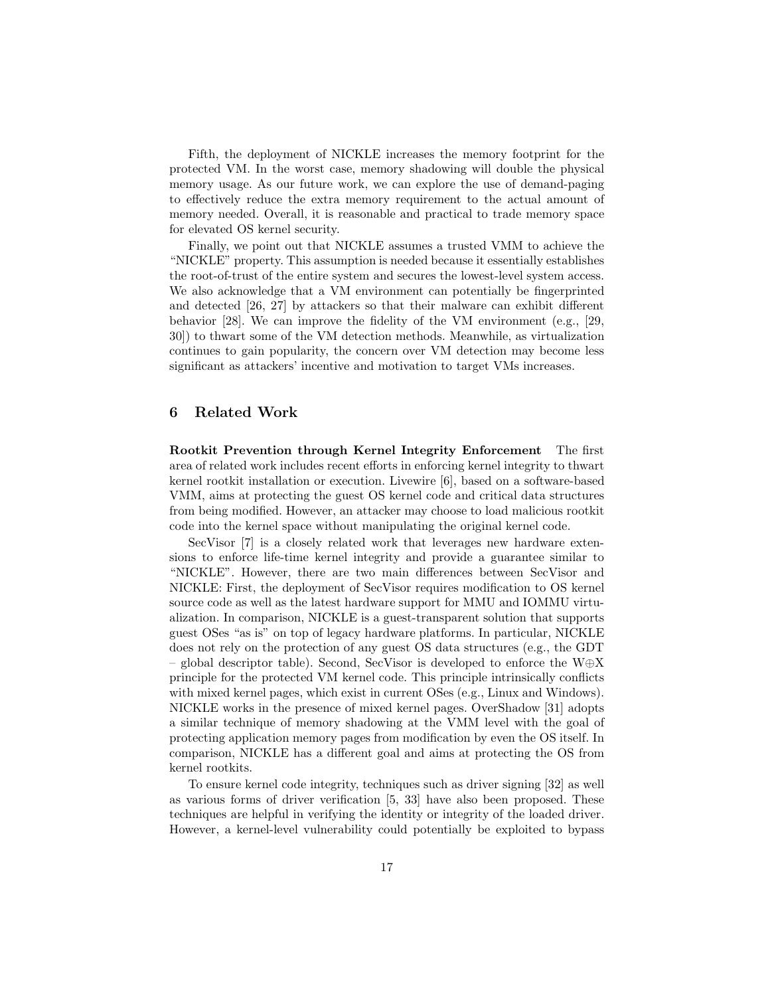Fifth, the deployment of NICKLE increases the memory footprint for the protected VM. In the worst case, memory shadowing will double the physical memory usage. As our future work, we can explore the use of demand-paging to effectively reduce the extra memory requirement to the actual amount of memory needed. Overall, it is reasonable and practical to trade memory space for elevated OS kernel security.

Finally, we point out that NICKLE assumes a trusted VMM to achieve the "NICKLE" property. This assumption is needed because it essentially establishes the root-of-trust of the entire system and secures the lowest-level system access. We also acknowledge that a VM environment can potentially be fingerprinted and detected [26, 27] by attackers so that their malware can exhibit different behavior [28]. We can improve the fidelity of the VM environment (e.g., [29, 30]) to thwart some of the VM detection methods. Meanwhile, as virtualization continues to gain popularity, the concern over VM detection may become less significant as attackers' incentive and motivation to target VMs increases.

## 6 Related Work

Rootkit Prevention through Kernel Integrity Enforcement The first area of related work includes recent efforts in enforcing kernel integrity to thwart kernel rootkit installation or execution. Livewire [6], based on a software-based VMM, aims at protecting the guest OS kernel code and critical data structures from being modified. However, an attacker may choose to load malicious rootkit code into the kernel space without manipulating the original kernel code.

SecVisor [7] is a closely related work that leverages new hardware extensions to enforce life-time kernel integrity and provide a guarantee similar to "NICKLE". However, there are two main differences between SecVisor and NICKLE: First, the deployment of SecVisor requires modification to OS kernel source code as well as the latest hardware support for MMU and IOMMU virtualization. In comparison, NICKLE is a guest-transparent solution that supports guest OSes "as is" on top of legacy hardware platforms. In particular, NICKLE does not rely on the protection of any guest OS data structures (e.g., the GDT – global descriptor table). Second, SecVisor is developed to enforce the W⊕X principle for the protected VM kernel code. This principle intrinsically conflicts with mixed kernel pages, which exist in current OSes (e.g., Linux and Windows). NICKLE works in the presence of mixed kernel pages. OverShadow [31] adopts a similar technique of memory shadowing at the VMM level with the goal of protecting application memory pages from modification by even the OS itself. In comparison, NICKLE has a different goal and aims at protecting the OS from kernel rootkits.

To ensure kernel code integrity, techniques such as driver signing [32] as well as various forms of driver verification [5, 33] have also been proposed. These techniques are helpful in verifying the identity or integrity of the loaded driver. However, a kernel-level vulnerability could potentially be exploited to bypass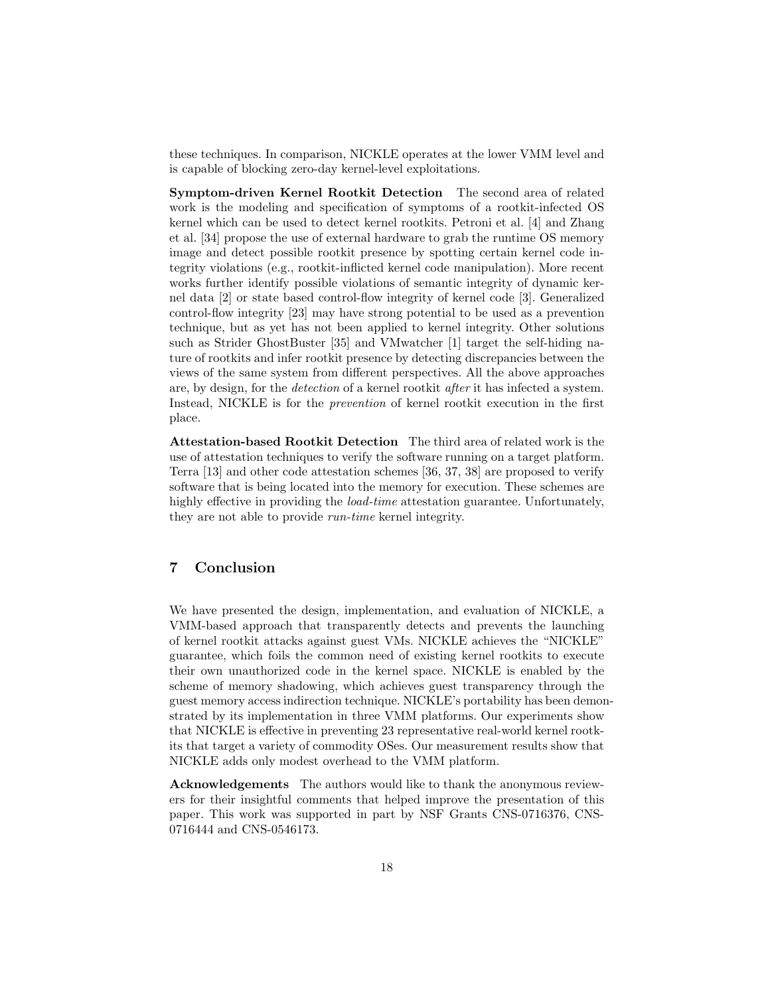these techniques. In comparison, NICKLE operates at the lower VMM level and is capable of blocking zero-day kernel-level exploitations.

Symptom-driven Kernel Rootkit Detection The second area of related work is the modeling and specification of symptoms of a rootkit-infected OS kernel which can be used to detect kernel rootkits. Petroni et al. [4] and Zhang et al. [34] propose the use of external hardware to grab the runtime OS memory image and detect possible rootkit presence by spotting certain kernel code integrity violations (e.g., rootkit-inflicted kernel code manipulation). More recent works further identify possible violations of semantic integrity of dynamic kernel data [2] or state based control-flow integrity of kernel code [3]. Generalized control-flow integrity [23] may have strong potential to be used as a prevention technique, but as yet has not been applied to kernel integrity. Other solutions such as Strider GhostBuster [35] and VMwatcher [1] target the self-hiding nature of rootkits and infer rootkit presence by detecting discrepancies between the views of the same system from different perspectives. All the above approaches are, by design, for the detection of a kernel rootkit after it has infected a system. Instead, NICKLE is for the prevention of kernel rootkit execution in the first place.

Attestation-based Rootkit Detection The third area of related work is the use of attestation techniques to verify the software running on a target platform. Terra [13] and other code attestation schemes [36, 37, 38] are proposed to verify software that is being located into the memory for execution. These schemes are highly effective in providing the *load-time* attestation guarantee. Unfortunately, they are not able to provide run-time kernel integrity.

## 7 Conclusion

We have presented the design, implementation, and evaluation of NICKLE, a VMM-based approach that transparently detects and prevents the launching of kernel rootkit attacks against guest VMs. NICKLE achieves the "NICKLE" guarantee, which foils the common need of existing kernel rootkits to execute their own unauthorized code in the kernel space. NICKLE is enabled by the scheme of memory shadowing, which achieves guest transparency through the guest memory access indirection technique. NICKLE's portability has been demonstrated by its implementation in three VMM platforms. Our experiments show that NICKLE is effective in preventing 23 representative real-world kernel rootkits that target a variety of commodity OSes. Our measurement results show that NICKLE adds only modest overhead to the VMM platform.

Acknowledgements The authors would like to thank the anonymous reviewers for their insightful comments that helped improve the presentation of this paper. This work was supported in part by NSF Grants CNS-0716376, CNS-0716444 and CNS-0546173.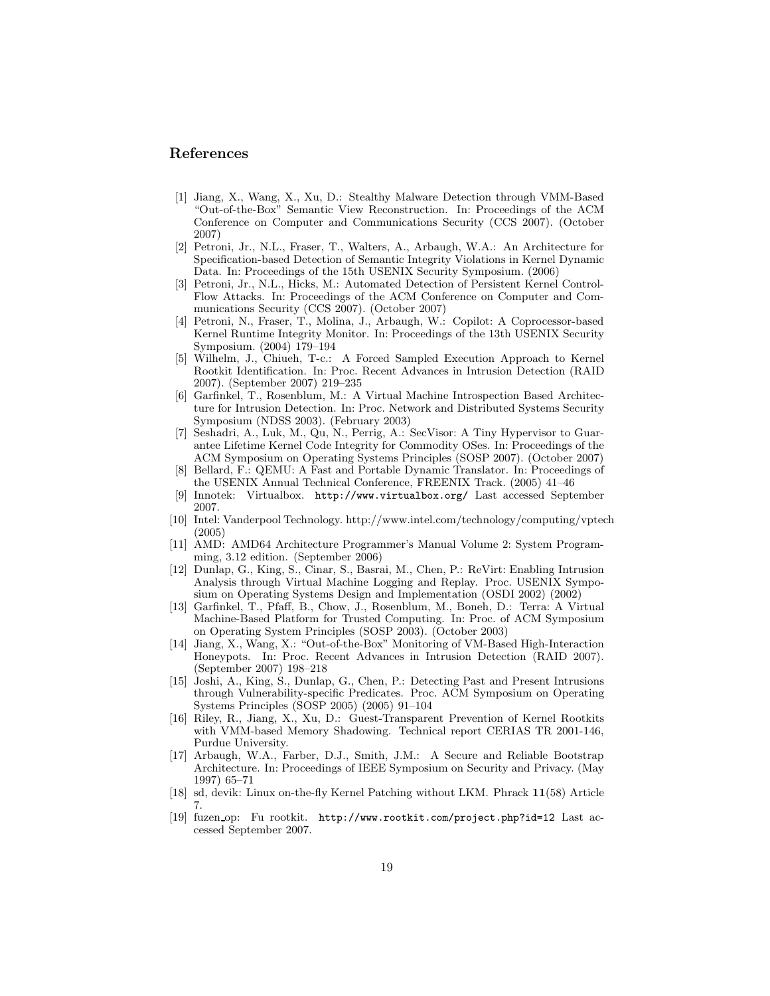## References

- [1] Jiang, X., Wang, X., Xu, D.: Stealthy Malware Detection through VMM-Based "Out-of-the-Box" Semantic View Reconstruction. In: Proceedings of the ACM Conference on Computer and Communications Security (CCS 2007). (October 2007)
- [2] Petroni, Jr., N.L., Fraser, T., Walters, A., Arbaugh, W.A.: An Architecture for Specification-based Detection of Semantic Integrity Violations in Kernel Dynamic Data. In: Proceedings of the 15th USENIX Security Symposium. (2006)
- [3] Petroni, Jr., N.L., Hicks, M.: Automated Detection of Persistent Kernel Control-Flow Attacks. In: Proceedings of the ACM Conference on Computer and Communications Security (CCS 2007). (October 2007)
- [4] Petroni, N., Fraser, T., Molina, J., Arbaugh, W.: Copilot: A Coprocessor-based Kernel Runtime Integrity Monitor. In: Proceedings of the 13th USENIX Security Symposium. (2004) 179–194
- [5] Wilhelm, J., Chiueh, T-c.: A Forced Sampled Execution Approach to Kernel Rootkit Identification. In: Proc. Recent Advances in Intrusion Detection (RAID 2007). (September 2007) 219–235
- [6] Garfinkel, T., Rosenblum, M.: A Virtual Machine Introspection Based Architecture for Intrusion Detection. In: Proc. Network and Distributed Systems Security Symposium (NDSS 2003). (February 2003)
- [7] Seshadri, A., Luk, M., Qu, N., Perrig, A.: SecVisor: A Tiny Hypervisor to Guarantee Lifetime Kernel Code Integrity for Commodity OSes. In: Proceedings of the ACM Symposium on Operating Systems Principles (SOSP 2007). (October 2007)
- [8] Bellard, F.: QEMU: A Fast and Portable Dynamic Translator. In: Proceedings of the USENIX Annual Technical Conference, FREENIX Track. (2005) 41–46
- [9] Innotek: Virtualbox. http://www.virtualbox.org/ Last accessed September 2007.
- [10] Intel: Vanderpool Technology. http://www.intel.com/technology/computing/vptech (2005)
- [11] AMD: AMD64 Architecture Programmer's Manual Volume 2: System Programming, 3.12 edition. (September 2006)
- [12] Dunlap, G., King, S., Cinar, S., Basrai, M., Chen, P.: ReVirt: Enabling Intrusion Analysis through Virtual Machine Logging and Replay. Proc. USENIX Symposium on Operating Systems Design and Implementation (OSDI 2002) (2002)
- [13] Garfinkel, T., Pfaff, B., Chow, J., Rosenblum, M., Boneh, D.: Terra: A Virtual Machine-Based Platform for Trusted Computing. In: Proc. of ACM Symposium on Operating System Principles (SOSP 2003). (October 2003)
- [14] Jiang, X., Wang, X.: "Out-of-the-Box" Monitoring of VM-Based High-Interaction Honeypots. In: Proc. Recent Advances in Intrusion Detection (RAID 2007). (September 2007) 198–218
- [15] Joshi, A., King, S., Dunlap, G., Chen, P.: Detecting Past and Present Intrusions through Vulnerability-specific Predicates. Proc. ACM Symposium on Operating Systems Principles (SOSP 2005) (2005) 91–104
- [16] Riley, R., Jiang, X., Xu, D.: Guest-Transparent Prevention of Kernel Rootkits with VMM-based Memory Shadowing. Technical report CERIAS TR 2001-146, Purdue University.
- [17] Arbaugh, W.A., Farber, D.J., Smith, J.M.: A Secure and Reliable Bootstrap Architecture. In: Proceedings of IEEE Symposium on Security and Privacy. (May 1997) 65–71
- [18] sd, devik: Linux on-the-fly Kernel Patching without LKM. Phrack 11(58) Article 7.
- [19] fuzen op: Fu rootkit. http://www.rootkit.com/project.php?id=12 Last accessed September 2007.